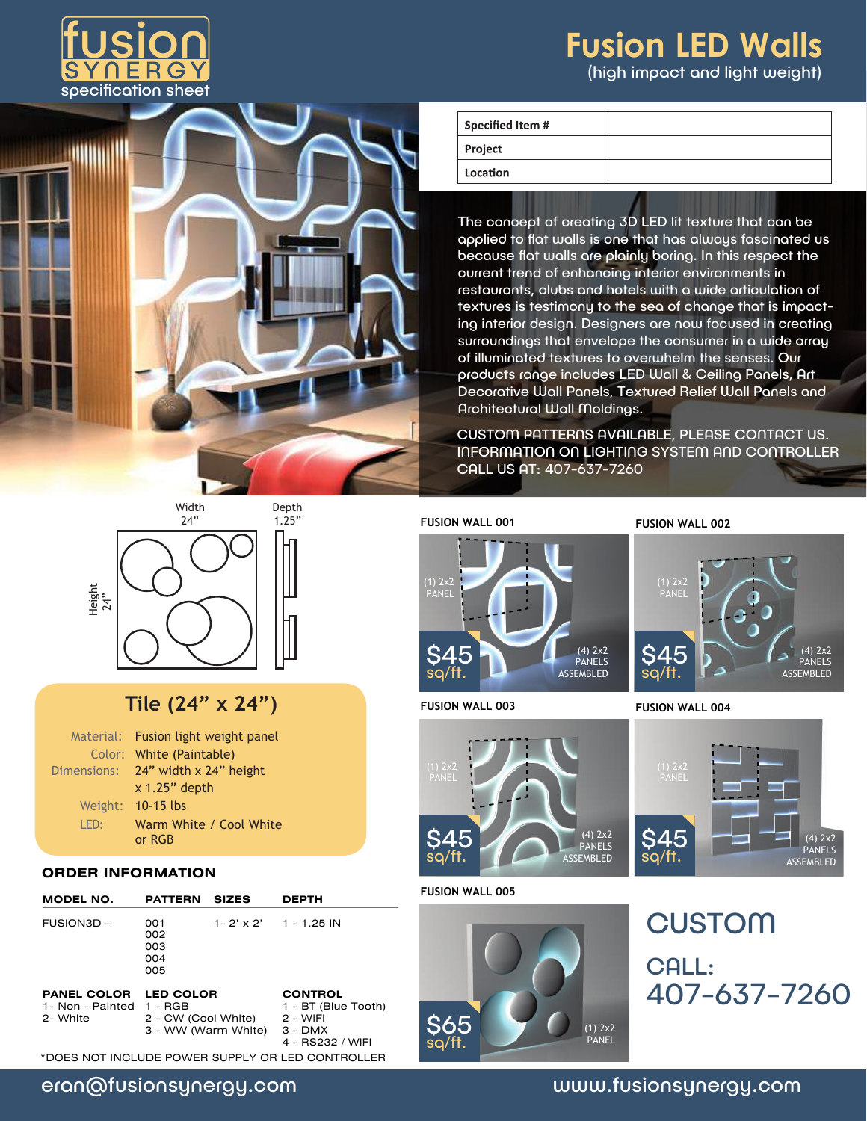

# **Fusion LED Walls** (high impact and light weight)



| <b>Specified Item #</b> |  |
|-------------------------|--|
| Project                 |  |
| Location                |  |

The concept of creating 3D LED lit texture that can be applied to flat walls is one that has always fascinated us because flat walls are plainly boring. In this respect the current trend of enhancing interior environments in restaurants, clubs and hotels with a wide articulation of textures is testimony to the sea of change that is impacting interior design. Designers are now focused in creating surroundings that envelope the consumer in a wide array of illuminated textures to overwhelm the senses. Our products range includes LED Wall & Ceiling Panels, Art Decorative Wall Panels, Textured Relief Wall Panels and Architectural Wall Moldings.

CUSTOM PATTERNS AVAILABLE, PLEASE CONTACT US. INFORMATION ON LIGHTING SYSTEM AND CONTROLLER CALL US AT: 407-637-7260



Width

## **Tile (24" x 24")**

|      | Material: Fusion light weight panel |  |  |  |
|------|-------------------------------------|--|--|--|
|      | Color: White (Paintable)            |  |  |  |
|      | Dimensions: 24" width x 24" height  |  |  |  |
|      | $x$ 1.25" depth                     |  |  |  |
|      | Weight: 10-15 lbs                   |  |  |  |
| LED: | Warm White / Cool White             |  |  |  |
|      | or RGB                              |  |  |  |

#### **ORDER INFORMATION**

| MODEL NO.                                                  | <b>PATTERN</b>                          | <b>SIZES</b>        | <b>DEPTH</b>                                                   |
|------------------------------------------------------------|-----------------------------------------|---------------------|----------------------------------------------------------------|
| FUSION3D -                                                 | 001<br>002<br>003<br>004<br>005         |                     | $1 - 2' \times 2'$ 1 - 1.25 IN                                 |
| <b>PANEL COLOR</b><br>1- Non - Painted 1 - RGB<br>2- White | <b>LED COLOR</b><br>2 - CW (Cool White) | 3 - WW (Warm White) | <b>CONTROL</b><br>1 - BT (Blue Tooth)<br>2 - WiFi<br>$3 - DMX$ |

\*DOES NOT INCLUDE POWER SUPPLY OR LED CONTROLLER

| Depth |  |  |
|-------|--|--|
| 1.25" |  |  |
| -     |  |  |

4 - RS232 / WiFi

**FUSION WALL 001 FUSION WALL 002**



**FUSION WALL 003 FUSION WALL 004**



#### **FUSION WALL 005**



(1) 2x2 PANEL (4) 2x2 PANELS ASSEMBLED ⊿斥 sq/ft.



407-637-7260 **CUSTOM** CALL:

### eran@fusionsynergy.com www.fusionsynergy.com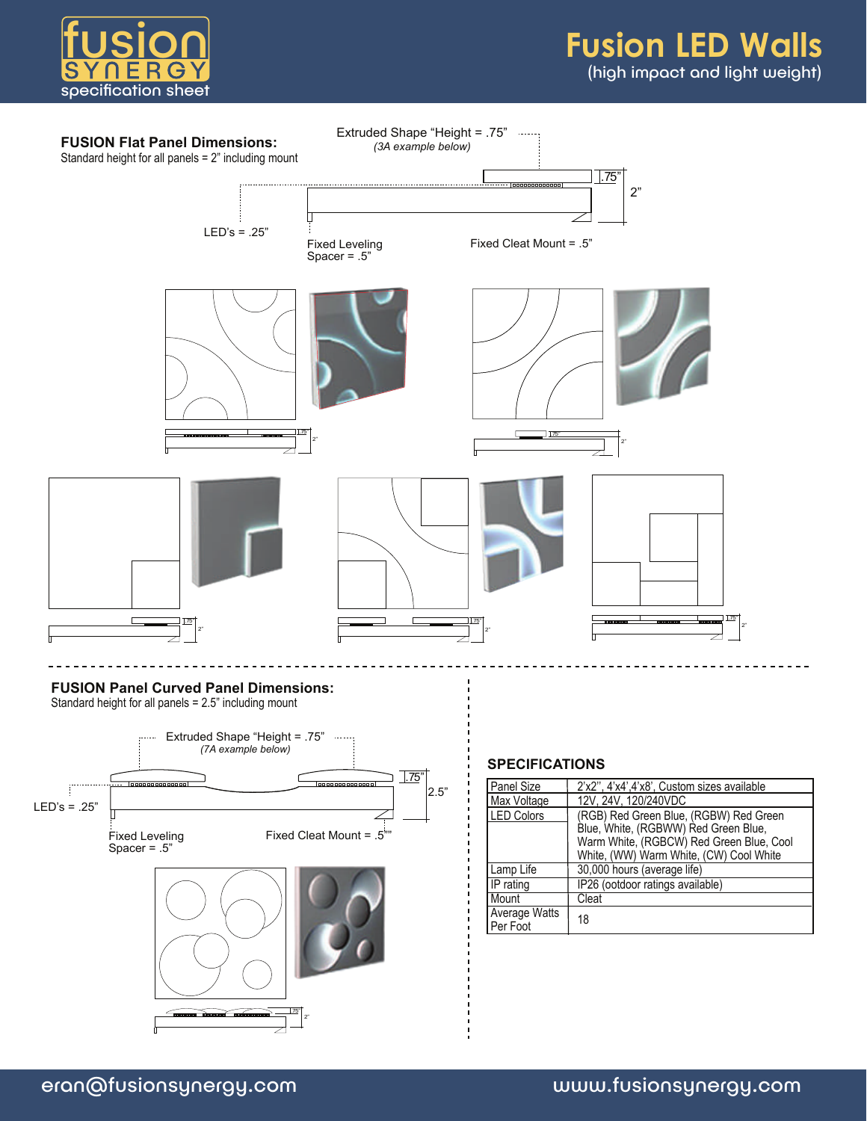